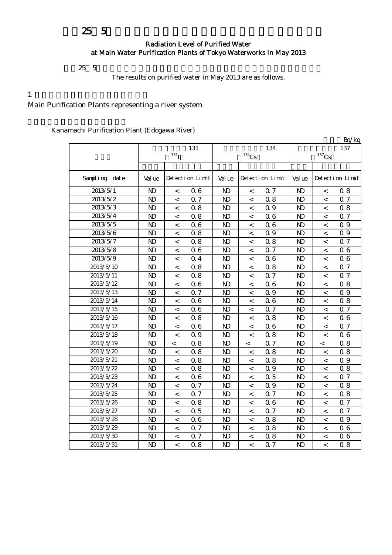# 平成25年5月の主要浄水場の水道水の放射能測定結果について

#### Radiation Level of Purified Water at Main Water Purification Plants of Tokyo Waterworks in May 2013

 $25\;5$ 

The results on purified water in May 2013 are as follows.

#### $1$

Main Purification Plants representing a river system

|               |                |                          |                 |                |                     |                 |                |                | Bq/kg           |
|---------------|----------------|--------------------------|-----------------|----------------|---------------------|-----------------|----------------|----------------|-----------------|
|               |                |                          | 131             |                |                     | 134             |                |                | 137             |
|               |                | 131 <sub>1</sub>         |                 |                | $^{134}\mathrm{Cs}$ |                 |                | $137$ Cs       |                 |
|               |                |                          |                 |                |                     |                 |                |                |                 |
| Sampling date | Val ue         |                          | Detection Limit | Val ue         |                     | Detection Limit | Val ue         |                | Detection Limit |
| 2013/5/1      | $\mathbf{N}$   | $\,<\,$                  | 0.6             | N <sub>D</sub> | $\,<$               | Q 7             | $\mathbf{D}$   | $\,<\,$        | 0.8             |
| 2013/5/2      | $\mathbf{D}$   | $\,<\,$                  | 0.7             | N)             | $\,<$               | 0.8             | $\mathbf{D}$   | $\lt$          | 0.7             |
| 2013/5/3      | N <sub>D</sub> | $\,<\,$                  | 0.8             | $\mathbf{N}$   | $\,<$               | 0.9             | $\mathbf{D}$   | $\lt$          | 0.8             |
| 2013/5/4      | N <sub>D</sub> | $\,<\,$                  | 0.8             | N <sub>D</sub> | $\,<$               | 06              | $\mathbf{D}$   | $\lt$          | Q 7             |
| 2013/5/5      | N <sub>D</sub> | $\,<\,$                  | 0.6             | N <sub>D</sub> | $\,<\,$             | 06              | $\mathbf{D}$   | $\lt$          | 0.9             |
| 2013/5/6      | $\mathbf{D}$   | $\,<\,$                  | 0.8             | N <sub>D</sub> | $\,<\,$             | 0.9             | $\mathbf{D}$   | $\,<$          | 0.9             |
| 2013/5/7      | N <sub>D</sub> | $\,<\,$                  | 0.8             | $\mathbf{D}$   | $\,<$               | 0.8             | N <sub>D</sub> | $\,<\,$        | 0.7             |
| 2013/5/8      | N <sub>D</sub> | $\,<\,$                  | 0.6             | N <sub>D</sub> | $\,<$               | 0.7             | N <sub>D</sub> | $\,<\,$        | 06              |
| 2013/5/9      | $\mathbf{N}$   | $\,<\,$                  | 0.4             | N <sub>D</sub> | $\,<\,$             | 06              | $\mathbf{D}$   | $\,<\,$        | 06              |
| 2013/5/10     | $\mathbf{N}$   | $\,<\,$                  | 0.8             | N <sub>D</sub> | $\,<\,$             | 0.8             | N <sub>D</sub> | $\,<$          | 0.7             |
| 2013/5/11     | N <sub>D</sub> | $\,<$                    | 0.8             | N <sub>D</sub> | $\,<\,$             | 0.7             | N <sub>D</sub> | $\,<$          | 0.7             |
| 2013/5/12     | N <sub>D</sub> | $\,<\,$                  | 0.6             | N <sub>D</sub> | $\,<\,$             | 06              | N <sub>D</sub> | $\,<$          | 0.8             |
| 2013/5/13     | $\mathbf{N}$   | $\,<\,$                  | 0.7             | N <sub>D</sub> | $\,<$               | 0.9             | $\mathbf{D}$   | $\,<$          | 0.9             |
| 2013/5/14     | $\mathbf{N}$   | $\,<\,$                  | 0.6             | N <sub>D</sub> | $\,<$               | 06              | $\mathbf{D}$   | $\,<\,$        | 0.8             |
| 2013/5/15     | $\mathbf{D}$   | $\,<\,$                  | 0.6             | N <sub>D</sub> | $\,<$               | 0.7             | N <sub>D</sub> | $\,<\,$        | 0.7             |
| 2013/5/16     | N <sub>D</sub> | $\,<\,$                  | 0.8             | N <sub>D</sub> | $\,<$               | 0.8             | N <sub>D</sub> | $\,<\,$        | 06              |
| 2013/5/17     | $\mathbf{N}$   | $\lt$                    | 0.6             | N <sub>D</sub> | $\,<\,$             | 06              | $\mathbf{D}$   | $\lt$          | 0.7             |
| 2013/5/18     | $\mathbf{N}$   | $\,<\,$                  | 0.9             | $\mathbf{N}$   | $\,<$               | 0.8             | $\mathbf{D}$   | $\lt$          | 06              |
| 2013/5/19     | $\mathbf{N}$   | $\,<$                    | 0.8             | $\mathbf{N}$   | $\,<$               | Q 7             | $\mathbf{D}$   | $\,<\,$        | 0.8             |
| 2013/5/20     | N <sub>D</sub> | $\,<\,$                  | 0.8             | $\mathbf{D}$   | $\,<$               | 0.8             | $\mathbf{D}$   | $\,<$          | 0.8             |
| 2013/5/21     | $\mathbf{N}$   | $\lt$                    | 0.8             | N <sub>D</sub> | $\,<$               | 0.8             | $\mathbf{D}$   | $\lt$          | 0.9             |
| 2013/5/22     | $\mathbf{N}$   | $\,<\,$                  | 0.8             | N <sub>D</sub> | $\,<$               | 0.9             | $\mathbf{D}$   | $\,<$          | 0.8             |
| 2013/5/23     | N <sub>D</sub> | $\,<\,$                  | 0.6             | $\mathbf{D}$   | $\,<$               | 0.5             | $\mathbf{D}$   | $\,<$          | 0.7             |
| 2013/5/24     | $\mathbf{D}$   | $\,<\,$                  | 0.7             | N <sub>D</sub> | $\,<$               | 0.9             | $\mathbf{D}$   | $\,<$          | 0.8             |
| 2013/5/25     | $\mathbf{D}$   | $\,<\,$                  | 0.7             | $\mathbf{D}$   | $\,<$               | 0.7             | $\mathbf{D}$   | $\,<$          | 0.8             |
| 2013/5/26     | N <sub>D</sub> | $\,<\,$                  | 0.8             | N <sub>D</sub> | $\,<\,$             | 06              | $\mathbf{D}$   | $\lt$          | 0.7             |
| 2013/5/27     | N <sub>D</sub> | $\,<\,$                  | 0.5             | N <sub>D</sub> | $\,<$               | Q 7             | $\mathbf{D}$   | $\overline{a}$ | 0.7             |
| 2013/5/28     | $\mathbf{D}$   | $\,<\,$                  | 0.6             | N <sub>D</sub> | $\,<$               | 0.8             | N <sub>D</sub> | $\,<$          | 0.9             |
| 2013/5/29     | $\mathbf{D}$   | $\,<\,$                  | 0.7             | N <sub>D</sub> | $\,<$               | 0.8             | $\mathbf{D}$   | $\,<\,$        | 06              |
| 2013/5/30     | N <sub>D</sub> | $\,<\,$                  | 0.7             | N <sub>D</sub> | $\,<\,$             | 0.8             | $\mathbf{D}$   | $\,<\,$        | 06              |
| 2013/5/31     | N <sub>D</sub> | $\overline{\phantom{0}}$ | 0.8             | N <sub>D</sub> | $\,<$               | Q 7             | $\mathbf{D}$   | $\overline{a}$ | 0.8             |

Kanamachi Purification Plant (Edogawa River)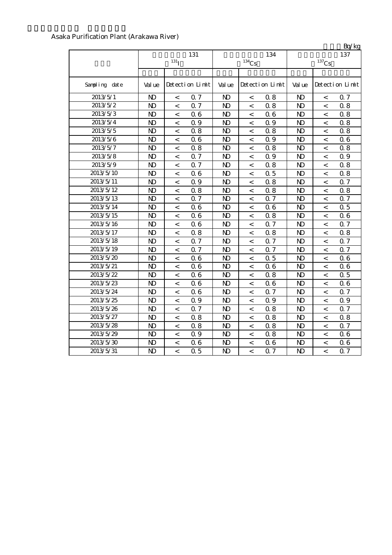| Asaka Purification Plant (Arakawa River) |  |  |  |
|------------------------------------------|--|--|--|
|------------------------------------------|--|--|--|

|               |                |                  |                 |                |                |                 |                |                          | Bq/kg           |
|---------------|----------------|------------------|-----------------|----------------|----------------|-----------------|----------------|--------------------------|-----------------|
|               |                |                  | 131             |                |                | 134             |                |                          | 137             |
|               |                | 131 <sub>T</sub> |                 |                | $134$ Cs       |                 |                | $^{137}\mathrm{Cs}$      |                 |
|               |                |                  |                 |                |                |                 |                |                          |                 |
| Sampling date | Val ue         |                  | Detection Limit | Val ue         |                | Detection Limit | Val ue         |                          | Detection Limit |
| 2013/5/1      | N <sub>D</sub> | $\,<\,$          | 0.7             | N <sub>D</sub> | $\,<\,$        | 0.8             | N <sub>D</sub> | $\,<\,$                  | 0.7             |
| 2013/5/2      | N <sub>D</sub> | $\,<\,$          | 0.7             | N <sub>D</sub> | $\,<\,$        | 0.8             | N <sub>D</sub> | $\,<\,$                  | 0.8             |
| 2013/5/3      | $\mathbf{N}$   | $\,<\,$          | 0.6             | N <sub>D</sub> | $\,<\,$        | 06              | $\mathbf{N}$   | $\,<\,$                  | 0.8             |
| 2013/5/4      | N <sub>D</sub> | $\,<\,$          | Q 9             | N <sub>D</sub> | $\,<\,$        | 0.9             | $\mathbf{N}$   | $\,<\,$                  | 0.8             |
| 2013/5/5      | N <sub>D</sub> | $\,<\,$          | 0.8             | N <sub>D</sub> | $\,<\,$        | 0.8             | $\mathbf{D}$   | $\,<\,$                  | 0.8             |
| 2013/5/6      | $\mathbf{N}$   | $\,<\,$          | 0.6             | $\mathbf{N}$   | $\,<$          | 0.9             | $\mathbf{N}$   | $\,<$                    | 06              |
| 2013/5/7      | $\mathbf{D}$   | $\lt$            | 0.8             | N <sub>D</sub> | $\,<$          | 0.8             | $\mathbf{N}$   | $\lt$                    | 0.8             |
| 2013/5/8      | $\mathbf{D}$   | $\lt$            | 0.7             | N <sub>D</sub> | $\,<$          | 0.9             | $\mathbf{N}$   | $\lt$                    | Q 9             |
| 2013/5/9      | $\mathbf{D}$   | $\lt$            | 0.7             | N <sub>D</sub> | $\,<$          | 0.8             | $\mathbf{N}$   | $\lt$                    | 0.8             |
| 2013/5/10     | $\mathbf{D}$   | $\,<\,$          | 0.6             | $\mathbf{D}$   | $\,<$          | 0.5             | $\mathbf{D}$   | $\,<$                    | 0.8             |
| 2013/5/11     | $\mathbf{D}$   | $\,<$            | 0.9             | $\mathbf{D}$   | $\,<$          | 0.8             | $\mathbf{D}$   | $\,<\,$                  | Q 7             |
| 2013/5/12     | $\mathbf{D}$   | $\,<$            | 0.8             | $\mathbf{D}$   | $\,<$          | 0.8             | $\mathbf{D}$   | $\,<$                    | 0.8             |
| 2013/5/13     | $\mathbf{D}$   | $\,<\,$          | 0.7             | $\mathbf{D}$   | $\,<$          | Q 7             | $\mathbf{D}$   | $\,<$                    | 0.7             |
| 2013/5/14     | N <sub>D</sub> | $\,<\,$          | 0.6             | N <sub>D</sub> | $\,<$          | 06              | N <sub>D</sub> | $\,<$                    | 0.5             |
| 2013/5/15     | N <sub>D</sub> | $\,<\,$          | 0.6             | N <sub>D</sub> | $\,<$          | 0.8             | N <sub>D</sub> | $\,<$                    | 06              |
| 2013/5/16     | N <sub>D</sub> | $\,<\,$          | 0.6             | N <sub>D</sub> | $\,<$          | 0.7             | N <sub>D</sub> | $\,<$                    | 0.7             |
| 2013/5/17     | N <sub>D</sub> | $\,<\,$          | 0.8             | N <sub>D</sub> | $\,<$          | 0.8             | N <sub>D</sub> | $\,<$                    | 0.8             |
| 2013/5/18     | N <sub>D</sub> | $\,<$            | 0.7             | N <sub>D</sub> | $\,<$          | 0.7             | N <sub>D</sub> | $\,<$                    | 0.7             |
| 2013/5/19     | N <sub>D</sub> | $\,<$            | 0.7             | $\mathbf{D}$   | $\,<$          | Q 7             | N <sub>D</sub> | $\,<$                    | 0.7             |
| 2013/5/20     | N <sub>D</sub> | $\,<\,$          | 0.6             | $\mathbf{D}$   | $\,<$          | 0.5             | $\mathbf{D}$   | $\,<$                    | 06              |
| 2013/5/21     | $\mathbf{D}$   | $\,<\,$          | 0.6             | $\mathbf{D}$   | $\,<$          | 06              | $\mathbf{D}$   | $\,<$                    | 06              |
| 2013/5/22     | N <sub>D</sub> | $\,<\,$          | 0.6             | N <sub>D</sub> | $\,<$          | 0.8             | N <sub>D</sub> | $\lt$                    | 0.5             |
| 2013/5/23     | N <sub>D</sub> | $\,<\,$          | 0.6             | $\mathbf{N}$   | $\,<$          | 06              | N <sub>D</sub> | $\lt$                    | 06              |
| 2013/5/24     | N <sub>D</sub> | $\,<\,$          | 0.6             | $\mathbf{N}$   | $\,<\,$        | 0.7             | N <sub>D</sub> | $\lt$                    | 0.7             |
| 2013/5/25     | $\mathbf{D}$   | $\,<$            | 0.9             | $\mathbf{D}$   | $\,<$          | 0.9             | $\mathbf{D}$   | $\lt$                    | 0.9             |
| 2013/5/26     | N <sub>D</sub> | $\,<\,$          | 0.7             | N <sub>D</sub> | $\,<$          | 0.8             | $\mathbf{D}$   | $\,<$                    | Q 7             |
| 2013/5/27     | $\mathbf{D}$   | $\,<\,$          | 0.8             | N <sub>D</sub> | $\,<$          | 0.8             | $\mathbf{D}$   | $\,<$                    | 0.8             |
| 2013/5/28     | N <sub>D</sub> | $\,<\,$          | 0.8             | N <sub>D</sub> | $\,<$          | 0.8             | $\mathbf{D}$   | $\,<$                    | 0.7             |
| 2013/5/29     | $\mathbf{D}$   | $\,<\,$          | 0.9             | N <sub>D</sub> | $\,<$          | 0.8             | N <sub>D</sub> | $\,<$                    | 06              |
| 2013/5/30     | N <sub>D</sub> | $\,<$            | 0.6             | N <sub>D</sub> | $\,<$          | 06              | N <sub>D</sub> | $\,<$                    | 06              |
| 2013/5/31     | N <sub>D</sub> | $\overline{a}$   | 0.5             | N <sub>D</sub> | $\overline{a}$ | 0.7             | N <sub>D</sub> | $\overline{\phantom{a}}$ | Q 7             |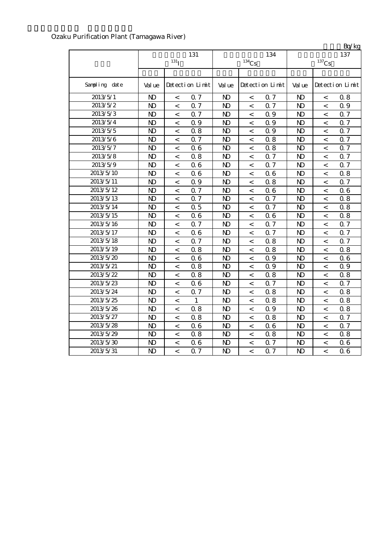|                       |                |                    |                 |                |                     |                 |                |                          | Bq/kg           |
|-----------------------|----------------|--------------------|-----------------|----------------|---------------------|-----------------|----------------|--------------------------|-----------------|
|                       |                |                    | 131             |                |                     | 134             |                |                          | 137             |
|                       |                | $131$ <sup>T</sup> |                 |                | $^{134}\mathrm{Cs}$ |                 |                | $137$ Cs                 |                 |
|                       |                |                    |                 |                |                     |                 |                |                          |                 |
| Sampling date         | Val ue         |                    | Detection Limit | Val ue         |                     | Detection Limit | Val ue         |                          | Detection Limit |
| 2013/5/1              | N)             | $\,<$              | 0.7             | N <sub>D</sub> | $\,<$               | 0.7             | $\mathbf{D}$   | $\,<\,$                  | 0.8             |
| 2013/5/2              | $\mathbf{D}$   | $\overline{<}$     | 0.7             | $\mathbf{N}$   | $\overline{a}$      | 0.7             | $\mathbf{D}$   | $\overline{\phantom{a}}$ | 0.9             |
| $2013/5/\overline{3}$ | N <sub>D</sub> | $\,<$              | 0.7             | N <sub>D</sub> | $\,<$               | 0.9             | $\mathbf{N}$   | $\,<\,$                  | 0.7             |
| 2013/5/4              | N <sub>D</sub> | $\,<$              | 0.9             | $\mathbf{D}$   | $\,<$               | 0.9             | N <sub>D</sub> | $\,<\,$                  | $0.7\,$         |
| 2013/5/5              | $\mathbf{N}$   | $\,<$              | 0.8             | $\mathbf{D}$   | $\,<$               | Q 9             | $\mathbf{N}$   | $\,<\,$                  | Q 7             |
| 2013/5/6              | $\mathbf{D}$   | $\,<\,$            | 0.7             | $\mathbf{D}$   | $\,<$               | 0.8             | $\mathbf{D}$   | $\,<\,$                  | 0.7             |
| 2013/5/7              | $\mathbf{D}$   | $\,<\,$            | 0.6             | $\mathbf{D}$   | $\,<$               | 0.8             | $\mathbf{D}$   | $\,<\,$                  | 0.7             |
| 2013/5/8              | $\mathbf{N}$   | $\,<\,$            | 0.8             | $\mathbf{N}$   | $\,<$               | 0.7             | $\mathbf{D}$   | $\overline{\phantom{0}}$ | 0.7             |
| 2013/5/9              | $\mathbf{D}$   | $\,<$              | 0.6             | $\mathbf{D}$   | $\,<$               | Q 7             | N <sub>D</sub> | $\,<\,$                  | 0.7             |
| 2013/5/10             | $\mathbf{D}$   | $\,<$              | 0.6             | $\mathbf{D}$   | $\,<$               | 06              | $\mathbf{D}$   | $\,<\,$                  | 0.8             |
| 2013/5/11             | $\mathbf{N}$   | $\,<$              | 0.9             | $\mathbf{D}$   | $\,<$               | 0.8             | $\mathbf{D}$   | $\,<\,$                  | 0.7             |
| 2013/5/12             | $\mathbf{D}$   | $\,<$              | 0.7             | $\mathbf{D}$   | $\,<\,$             | 06              | $\mathbf{D}$   | $\,<\,$                  | 06              |
| 2013/5/13             | $\mathbf{N}$   | $\,<\,$            | 0.7             | $\mathbf{N}$   | $\,<\,$             | 0.7             | $\mathbf{N}$   | $\,<\,$                  | 0.8             |
| 2013/5/14             | $\mathbf{N}$   | $\,<\,$            | 0.5             | N <sub>D</sub> | $\,<\,$             | 0.7             | $\mathbf{D}$   | $\,<\,$                  | 0.8             |
| 2013/5/15             | $\mathbf{N}$   | $\,<\,$            | 0.6             | N <sub>D</sub> | $\,<$               | 06              | $\mathbf{N}$   | $\,<\,$                  | 0.8             |
| 2013/5/16             | $\mathbf{N}$   | $\,<\,$            | 0.7             | $\mathbf{N}$   | $\,<$               | Q 7             | $\mathbf{N}$   | $\overline{\phantom{a}}$ | Q 7             |
| 2013/5/17             | N <sub>D</sub> | $\,<\,$            | 0.6             | $\mathbf{D}$   | $\,<$               | 0.7             | $\mathbf{N}$   | $\,<\,$                  | 0.7             |
| 2013/5/18             | N <sub>D</sub> | $\,<\,$            | 0.7             | $\mathbf{D}$   | $\,<$               | 0.8             | $\mathbf{D}$   | $\,<$                    | Q 7             |
| 2013/5/19             | $\mathbf{N}$   | $\,<\,$            | 0.8             | $\mathbf{N}$   | $\,<$               | 0.8             | $\mathbf{N}$   | $\,<\,$                  | 0.8             |
| 2013/5/20             | N <sub>D</sub> | $\,<\,$            | 0.6             | N <sub>D</sub> | $\,<$               | 0.9             | $\mathbf{D}$   | $\,<\,$                  | 06              |
| 2013/5/21             | N <sub>D</sub> | $\,<\,$            | 0.8             | $\mathbf{D}$   | $\,<$               | 0.9             | $\mathbf{D}$   | $\,<\,$                  | 0.9             |
| 2013/5/22             | $\mathbf{N}$   | $\,<\,$            | 0.8             | $\mathbf{N}$   | $\,<$               | 0.8             | $\mathbf{D}$   | $\overline{\phantom{a}}$ | 0.8             |
| 2013/5/23             | $\mathbf{D}$   | $\,<\,$            | 0.6             | N)             | $\,<$               | Q 7             | $\mathbf{D}$   | $\,<\,$                  | 0.7             |
| 2013/5/24             | N <sub>D</sub> | $\overline{a}$     | 0.7             | $\mathbf{D}$   | $\,<$               | 0.8             | $\mathbf{D}$   | $\,<$                    | 0.8             |
| 2013/5/25             | N <sub>D</sub> | $\,<$              | $\mathbf{1}$    | $\mathbf{N}$   | $\,<$               | 0.8             | $\mathbf{N}$   | $\overline{\phantom{a}}$ | 0.8             |
| 2013/5/26             | N <sub>D</sub> | $\,<\,$            | 0.8             | N <sub>D</sub> | $\,<\,$             | 0.9             | $\mathbf{D}$   | $\,<\,$                  | 0.8             |
| 2013/5/27             | $\mathbf{D}$   | $\,<\,$            | 0.8             | N <sub>D</sub> | $\,<$               | 0.8             | $\mathbf{D}$   | $\,<\,$                  | Q 7             |
| 2013/5/28             | N <sub>D</sub> | $\lt$              | 0.6             | N <sub>D</sub> | $\lt$               | 06              | $\mathbf{D}$   | $\overline{a}$           | Q 7             |
| 2013/5/29             | $\mathbf{N}$   | $\,<\,$            | 0.8             | $\mathbf{N}$   | $\,<$               | 0.8             | $\mathbf{D}$   | $\,<\,$                  | 0.8             |
| 2013/5/30             | N <sub>D</sub> | $\,<$              | 0.6             | $\mathbf{D}$   | $\prec$             | 0.7             | $\mathbf{D}$   | $\,<$                    | 06              |
| 2013/5/31             | $\mathbf{N}$   | $\overline{<}$     | 0.7             | $\mathbf{N}$   | $\,<$               | Q 7             | $\mathbf{D}$   | $\,<\,$                  | 06              |

## Ozaku Purification Plant (Tamagawa River)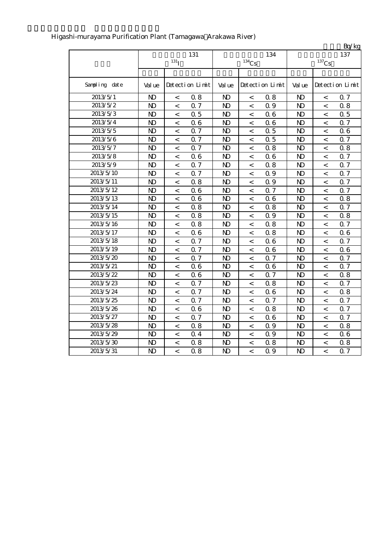|               |                |                          |                 |                |                     |                 |                |                          | Bq/kg           |
|---------------|----------------|--------------------------|-----------------|----------------|---------------------|-----------------|----------------|--------------------------|-----------------|
|               |                |                          | 131             |                |                     | 134             |                |                          | 137             |
|               |                | $131$ <sup>T</sup>       |                 |                | $^{134}\mathrm{Cs}$ |                 |                | $^{137}\mathrm{Cs}$      |                 |
|               |                |                          |                 |                |                     |                 |                |                          |                 |
| Sampling date | Val ue         |                          | Detection Limit | Val ue         |                     | Detection Limit | Val ue         |                          | Detection Limit |
| 2013/5/1      | N)             | $\,<\,$                  | 0.8             | N <sub>D</sub> | $\,<$               | 0.8             | N <sub>D</sub> | $\,<\,$                  | 0.7             |
| 2013/5/2      | $\mathbf{N}$   | $\,<\,$                  | 0.7             | $\mathbf{N}$   | $\,<$               | 0.9             | $\mathbf{D}$   | $\,<\,$                  | 0.8             |
| 2013/5/3      | $\mathbf{D}$   | $\,<\,$                  | 0.5             | $\mathbf{N}$   | $\,<\,$             | 06              | $\mathbf{N}$   | $\,<\,$                  | $\Omega$ 5      |
| 2013/5/4      | N <sub>D</sub> | $\,<\,$                  | 0.6             | N <sub>D</sub> | $\,<$               | 06              | $\mathbf{N}$   | $\,<\,$                  | 0.7             |
| 2013/5/5      | $\mathbf{D}$   | $\,<$                    | 0.7             | $\mathbf{D}$   | $\,<$               | 0.5             | $\mathbf{D}$   | $\,<\,$                  | 06              |
| 2013/5/6      | N <sub>D</sub> | $\,<\,$                  | 0.7             | $\mathbf{N}$   | $\,<$               | 0.5             | $\mathbf{D}$   | $\,<\,$                  | Q 7             |
| 2013/5/7      | $\mathbf{N}$   | $\,<\,$                  | 0.7             | $\mathbf{N}$   | $\,<$               | 0.8             | $\mathbf{D}$   | $\,<\,$                  | 0.8             |
| 2013/5/8      | $\mathbf{D}$   | $\,<\,$                  | 0.6             | $\mathbf{D}$   | $\,<$               | 06              | N <sub>D</sub> | $\,<\,$                  | 0.7             |
| 2013/5/9      | $\mathbf{D}$   | $\,<\,$                  | 0.7             | N <sub>D</sub> | $\,<\,$             | 0.8             | N <sub>D</sub> | $\,<\,$                  | 0.7             |
| 2013/5/10     | N <sub>D</sub> | $\,<\,$                  | 0.7             | $\mathbf{N}$   | $\,<\,$             | 0.9             | $\mathbf{N}$   | $\lt$                    | 0.7             |
| 2013/5/11     | $\mathbf{D}$   | $\,<\,$                  | 0.8             | $\mathbf{D}$   | $\,<$               | 0.9             | $\mathbf{N}$   | $\,<\,$                  | 0.7             |
| 2013/5/12     | N <sub>D</sub> | $\,<\,$                  | 0.6             | N <sub>D</sub> | $\,<$               | 0.7             | N <sub>D</sub> | $\,<\,$                  | 0.7             |
| 2013/5/13     | N <sub>D</sub> | $\,<\,$                  | 0.6             | $\mathbf{D}$   | $\,<$               | 06              | $\mathbf{N}$   | $\,<\,$                  | 0.8             |
| 2013/5/14     | N <sub>D</sub> | $\,<\,$                  | 0.8             | N <sub>D</sub> | $\,<\,$             | 0.8             | $\mathbf{N}$   | $\,<\,$                  | 0.7             |
| 2013/5/15     | $\mathbf{D}$   | $\,<\,$                  | 0.8             | $\mathbf{D}$   | $\,<\,$             | 0.9             | N <sub>D</sub> | $\,<\,$                  | 0.8             |
| 2013/5/16     | $\mathbf{D}$   | $\,<\,$                  | 0.8             | $\mathbf{D}$   | $\,<$               | 0.8             | $\mathbf{D}$   | $\,<\,$                  | 0.7             |
| 2013/5/17     | $\mathbf{N}$   | $\overline{\phantom{a}}$ | 0.6             | $\mathbf{N}$   | $\,<$               | 0.8             | $\mathbf{N}$   | $\,<\,$                  | 06              |
| 2013/5/18     | N <sub>D</sub> | $\,<\,$                  | 0.7             | N <sub>D</sub> | $\,<$               | 06              | $\mathbf{D}$   | $\,<\,$                  | 0.7             |
| 2013/5/19     | $\mathbf{D}$   | $\,<\,$                  | 0.7             | N <sub>D</sub> | $\prec$             | 06              | N <sub>D</sub> | $\,<\,$                  | 06              |
| 2013/5/20     | $\mathbf{N}$   | $\,<\,$                  | 0.7             | $\mathbf{D}$   | $\,<$               | Q 7             | $\mathbf{N}$   | $\,<\,$                  | Q 7             |
| 2013/5/21     | N <sub>D</sub> | $\,<\,$                  | 0.6             | N <sub>D</sub> | $\,<$               | 06              | $\mathbf{D}$   | $\,<\,$                  | <b>Q</b> 7      |
| 2013/5/22     | $\mathbf{D}$   | $\,<\,$                  | 0.6             | N <sub>D</sub> | $\,<$               | Q 7             | N <sub>D</sub> | $\,<\,$                  | 0.8             |
| 2013/5/23     | $\mathbf{D}$   | $\,<\,$                  | 0.7             | $\mathbf{D}$   | $\,<$               | 0.8             | $\mathbf{D}$   | $\overline{\phantom{a}}$ | Q 7             |
| 2013/5/24     | $\mathbf{N}$   | $\overline{\phantom{a}}$ | 0.7             | $\mathbf{D}$   | $\,<$               | 06              | $\mathbf{N}$   | $\overline{\phantom{a}}$ | 0.8             |
| 2013/5/25     | $\mathbf{D}$   | $\,<\,$                  | 0.7             | $\mathbf{D}$   | $\,<$               | Q 7             | N <sub>D</sub> | $\,<\,$                  | 0.7             |
| 2013/5/26     | N <sub>D</sub> | $\,<$                    | 0.6             | N <sub>D</sub> | $\,<$               | 0.8             | N <sub>D</sub> | $\,<\,$                  | Q 7             |
| 2013/5/27     | N <sub>D</sub> | $\,<\,$                  | 0.7             | N <sub>D</sub> | $\,<$               | 06              | $\mathbf{N}$   | $\,<\,$                  | Q 7             |
| 2013/5/28     | $\mathbf{N}$   | $\,<\,$                  | 0.8             | $\mathbf{N}$   | $\,<\,$             | 0.9             | $\mathbf{N}$   | $\,<\,$                  | 0.8             |
| 2013/5/29     | $\mathbf{D}$   | $\,<\,$                  | 0.4             | $\mathbf{D}$   | $\,<\,$             | 0.9             | N <sub>D</sub> | $\,<\,$                  | 06              |
| 2013/5/30     | N <sub>D</sub> | $\,<$                    | 0.8             | N <sub>D</sub> | $\,<$               | 0.8             | N <sub>D</sub> | $\,<\,$                  | 0.8             |
| 2013/5/31     | N <sub>D</sub> | $\overline{a}$           | 0.8             | N <sub>D</sub> | $\lt$               | 0.9             | $\mathbf{D}$   | $\overline{a}$           | $Q\bar{z}$      |

#### Higashi-murayama Purification Plant (Tamagawa Arakawa River)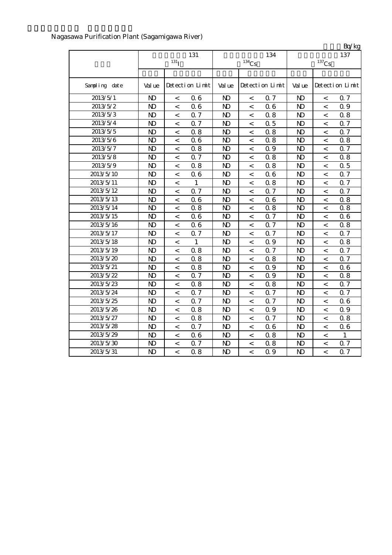|                       |                |                          |                 |                |                          |                 |                |                     | Bq/kg           |
|-----------------------|----------------|--------------------------|-----------------|----------------|--------------------------|-----------------|----------------|---------------------|-----------------|
|                       |                |                          | 131             |                |                          | 134             |                |                     | 137             |
|                       |                | $131$ <sup>T</sup>       |                 |                | $134$ Cs                 |                 |                | $^{137}\mathrm{Cs}$ |                 |
|                       |                |                          |                 |                |                          |                 |                |                     |                 |
| Sampling date         | Val ue         |                          | Detection Limit | Val ue         |                          | Detection Limit | Val ue         |                     | Detection Limit |
| 2013/5/1              | N)             | $\,<$                    | 0.6             | $\mathbf{D}$   | $\,<\,$                  | 0.7             | N <sub>D</sub> | $\,<$               | 0.7             |
| 2013/5/2              | $\mathbf{N}$   | $\,<$                    | 0.6             | $\mathbf{N}$   | $\,<\,$                  | 06              | $\mathbf{N}$   | $\,<\,$             | 0.9             |
| $2013/5/\overline{3}$ | $\mathbf{N}$   | $\,<$                    | 0.7             | $\mathbf{D}$   | $\,<\,$                  | 0.8             | $\mathbf{D}$   | $\,<$               | 0.8             |
| 2013/5/4              | $\mathbf{D}$   | $\,<$                    | 0.7             | $\mathbf{D}$   | $\,<\,$                  | 0.5             | N <sub>D</sub> | $\,<$               | 0.7             |
| 2013/5/5              | $\mathbf{D}$   | $\,<$                    | 0.8             | $\mathbf{D}$   | $\,<\,$                  | 0.8             | N <sub>D</sub> | $\,<$               | 0.7             |
| 2013/5/6              | N <sub>D</sub> | $\,<$                    | 0.6             | $\mathbf{D}$   | $\,<\,$                  | 0.8             | N <sub>D</sub> | $\,<$               | 0.8             |
| 2013/5/7              | $\mathbf{N}$   | $\,<$                    | 0.8             | $\mathbf{N}$   | $\,<\,$                  | 0.9             | $\mathbf{D}$   | $\,<$               | 0.7             |
| 2013/5/8              | $\mathbf{N}$   | $\,<$                    | 0.7             | $\mathbf{N}$   | $\,<$                    | 0.8             | N <sub>D</sub> | $\,<$               | 0.8             |
| 2013/5/9              | $\mathbf{D}$   | $\,<$                    | 0.8             | N <sub>D</sub> | $\,<\,$                  | 0.8             | N <sub>D</sub> | $\,<$               | 0.5             |
| 2013/5/10             | $\mathbf{D}$   | $\,<$                    | 0.6             | $\mathbf{D}$   | $\,<\,$                  | 06              | N <sub>D</sub> | $\,<$               | 0.7             |
| 2013/5/11             | $\mathbf{N}$   | $\,<$                    | $\mathbf{1}$    | $\mathbf{N}$   | $\,<\,$                  | 0.8             | $\mathbf{D}$   | $\,<$               | Q 7             |
| 2013/5/12             | $\mathbf{N}$   | $\,<$                    | 0.7             | $\mathbf{D}$   | $\,<\,$                  | Q 7             | $\mathbf{D}$   | $\,<$               | 0.7             |
| 2013/5/13             | $\mathbf{N}$   | $\,<$                    | 0.6             | N <sub>D</sub> | $\,<\,$                  | 06              | $\mathbf{D}$   | $\,<$               | 0.8             |
| 2013/5/14             | $\mathbf{N}$   | $\,<$                    | 0.8             | $\mathbf{D}$   | $\,<\,$                  | 0.8             | $\mathbf{D}$   | $\,<$               | 0.8             |
| 2013/5/15             | $\mathbf{N}$   | $\,<$                    | 0.6             | N <sub>D</sub> | $\,<\,$                  | Q 7             | $\mathbf{D}$   | $\,<$               | 06              |
| 2013/5/16             | $\mathbf{D}$   | $\overline{\phantom{a}}$ | 0.6             | N <sub>D</sub> | $\,<\,$                  | Q <sub>7</sub>  | $\mathbf{N}$   | $\lt$               | 0.8             |
| 2013/5/17             | $\mathbf{N}$   | $\,<$                    | 0.7             | N <sub>D</sub> | $\,<\,$                  | Q 7             | $\mathbf{N}$   | $\,<$               | 0.7             |
| 2013/5/18             | $\mathbf{N}$   | $\,<$                    | $\mathbf{1}$    | N <sub>D</sub> | $\,<\,$                  | 0.9             | $\mathbf{D}$   | $\,<$               | 0.8             |
| 2013/5/19             | $\mathbf{D}$   | $\,<$                    | 0.8             | $\mathbf{D}$   | $\,<\,$                  | Q 7             | $\mathbf{D}$   | $\,<$               | 0.7             |
| 2013/5/20             | $\mathbf{N}$   | $\,<$                    | 0.8             | N <sub>D</sub> | $\,<\,$                  | 0.8             | $\mathbf{D}$   | $\,<$               | Q 7             |
| 2013/5/21             | $\mathbf{N}$   | $\,<$                    | 0.8             | N <sub>D</sub> | $\,<\,$                  | 0.9             | $\mathbf{N}$   | $\,<$               | 06              |
| 2013/5/22             | N <sub>D</sub> | $\,<$                    | 0.7             | $\mathbf{D}$   | $\,<\,$                  | Q 9             | $\mathbf{N}$   | $\,<$               | 0.8             |
| 2013/5/23             | $\mathbf{N}$   | $\,<$                    | 0.8             | $\mathbf{D}$   | $\,<\,$                  | 0.8             | $\mathbf{D}$   | $\,<$               | 0.7             |
| 2013/5/24             | $\mathbf{D}$   | $\,<$                    | 0.7             | $\mathbf{D}$   | $\,<\,$                  | Q 7             | $\mathbf{D}$   | $\,<$               | 0.7             |
| 2013/5/25             | $\mathbf{N}$   | $\,<$                    | 0.7             | $\mathbf{D}$   | $\,<\,$                  | Q 7             | N <sub>D</sub> | $\,<$               | 06              |
| 2013/5/26             | $\mathbf{N}$   | $\,<$                    | 0.8             | $\mathbf{N}$   | $\,<\,$                  | Q 9             | N <sub>D</sub> | $\overline{a}$      | 0.9             |
| 2013/5/27             | $\mathbf{D}$   | $\,<$                    | 0.8             | $\mathbf{N}$   | $\,<\,$                  | 0.7             | N <sub>D</sub> | $\,<$               | 0.8             |
| 2013/5/28             | $\mathbf{D}$   | $\,<$                    | 0.7             | $\mathbf{N}$   | $\overline{\phantom{0}}$ | 06              | N <sub>D</sub> | $\overline{a}$      | 06              |
| 2013/5/29             | $\mathbf{N}$   | $\,<$                    | 0.6             | N <sub>D</sub> | $\,<\,$                  | 0.8             | $\mathbf{N}$   | $\,<\,$             | 1               |
| 2013/5/30             | $\mathbf{D}$   | $\,<$                    | 0.7             | N <sub>D</sub> | $\,<\,$                  | 0.8             | N <sub>D</sub> | $\,<$               | 0.7             |
| 2013/5/31             | $\mathbf{D}$   | $\lt$                    | 0.8             | $\mathbf{D}$   | $\overline{\phantom{a}}$ | 0.9             | $\mathbf{N}$   | $\lt$               | 0.7             |

## Nagasawa Purification Plant (Sagamigawa River)